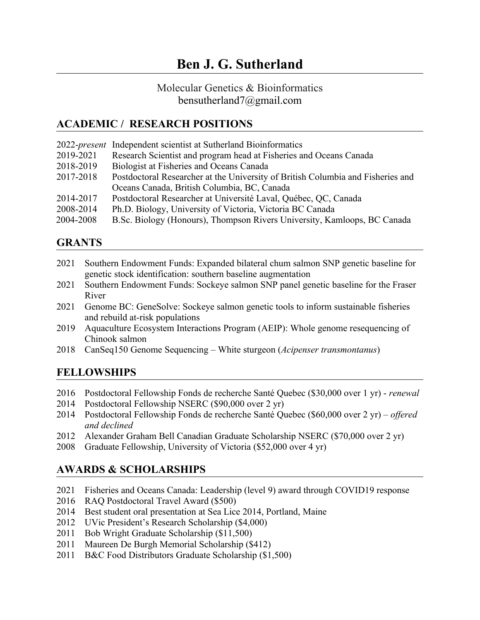# **Ben J. G. Sutherland**

#### Molecular Genetics & Bioinformatics bensutherland7@gmail.com

# **ACADEMIC / RESEARCH POSITIONS**

|           | 2022- <i>present</i> Independent scientist at Sutherland Bioinformatics         |
|-----------|---------------------------------------------------------------------------------|
| 2019-2021 | Research Scientist and program head at Fisheries and Oceans Canada              |
| 2018-2019 | Biologist at Fisheries and Oceans Canada                                        |
| 2017-2018 | Postdoctoral Researcher at the University of British Columbia and Fisheries and |
|           | Oceans Canada, British Columbia, BC, Canada                                     |
| 2014-2017 | Postdoctoral Researcher at Université Laval, Québec, QC, Canada                 |
| 2008-2014 | Ph.D. Biology, University of Victoria, Victoria BC Canada                       |
| 2004-2008 | B.Sc. Biology (Honours), Thompson Rivers University, Kamloops, BC Canada        |

# **GRANTS**

- 2021 Southern Endowment Funds: Expanded bilateral chum salmon SNP genetic baseline for genetic stock identification: southern baseline augmentation
- 2021 Southern Endowment Funds: Sockeye salmon SNP panel genetic baseline for the Fraser River
- 2021 Genome BC: GeneSolve: Sockeye salmon genetic tools to inform sustainable fisheries and rebuild at-risk populations
- 2019 Aquaculture Ecosystem Interactions Program (AEIP): Whole genome resequencing of Chinook salmon
- 2018 CanSeq150 Genome Sequencing White sturgeon (*Acipenser transmontanus*)

## **FELLOWSHIPS**

- 2016 Postdoctoral Fellowship Fonds de recherche Santé Quebec (\$30,000 over 1 yr) *renewal*
- 2014 Postdoctoral Fellowship NSERC (\$90,000 over 2 yr)
- 2014 Postdoctoral Fellowship Fonds de recherche Santé Quebec (\$60,000 over 2 yr) *offered and declined*
- 2012 Alexander Graham Bell Canadian Graduate Scholarship NSERC (\$70,000 over 2 yr)
- 2008 Graduate Fellowship, University of Victoria (\$52,000 over 4 yr)

## **AWARDS & SCHOLARSHIPS**

- 2021 Fisheries and Oceans Canada: Leadership (level 9) award through COVID19 response
- 2016 RAQ Postdoctoral Travel Award (\$500)
- 2014 Best student oral presentation at Sea Lice 2014, Portland, Maine
- 2012 UVic President's Research Scholarship (\$4,000)
- 2011 Bob Wright Graduate Scholarship (\$11,500)
- 2011 Maureen De Burgh Memorial Scholarship (\$412)
- 2011 B&C Food Distributors Graduate Scholarship (\$1,500)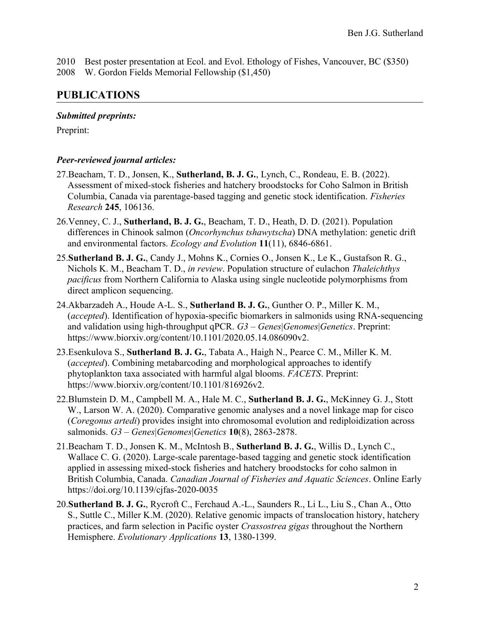2010 Best poster presentation at Ecol. and Evol. Ethology of Fishes, Vancouver, BC (\$350) 2008 W. Gordon Fields Memorial Fellowship (\$1,450)

#### **PUBLICATIONS**

#### *Submitted preprints:*

Preprint:

#### *Peer-reviewed journal articles:*

- 27.Beacham, T. D., Jonsen, K., **Sutherland, B. J. G.**, Lynch, C., Rondeau, E. B. (2022). Assessment of mixed-stock fisheries and hatchery broodstocks for Coho Salmon in British Columbia, Canada via parentage-based tagging and genetic stock identification. *Fisheries Research* **245**, 106136.
- 26.Venney, C. J., **Sutherland, B. J. G.**, Beacham, T. D., Heath, D. D. (2021). Population differences in Chinook salmon (*Oncorhynchus tshawytscha*) DNA methylation: genetic drift and environmental factors. *Ecology and Evolution* **11**(11), 6846-6861.
- 25.**Sutherland B. J. G.**, Candy J., Mohns K., Cornies O., Jonsen K., Le K., Gustafson R. G., Nichols K. M., Beacham T. D., *in review*. Population structure of eulachon *Thaleichthys pacificus* from Northern California to Alaska using single nucleotide polymorphisms from direct amplicon sequencing.
- 24.Akbarzadeh A., Houde A-L. S., **Sutherland B. J. G.**, Gunther O. P., Miller K. M., (*accepted*). Identification of hypoxia-specific biomarkers in salmonids using RNA-sequencing and validation using high-throughput qPCR. *G3 – Genes*|*Genomes*|*Genetics*. Preprint: https://www.biorxiv.org/content/10.1101/2020.05.14.086090v2.
- 23.Esenkulova S., **Sutherland B. J. G.**, Tabata A., Haigh N., Pearce C. M., Miller K. M. (*accepted*). Combining metabarcoding and morphological approaches to identify phytoplankton taxa associated with harmful algal blooms. *FACETS*. Preprint: https://www.biorxiv.org/content/10.1101/816926v2.
- 22.Blumstein D. M., Campbell M. A., Hale M. C., **Sutherland B. J. G.**, McKinney G. J., Stott W., Larson W. A. (2020). Comparative genomic analyses and a novel linkage map for cisco (*Coregonus artedi*) provides insight into chromosomal evolution and rediploidization across salmonids. *G3 – Genes*|*Genomes*|*Genetics* **10**(8), 2863-2878.
- 21.Beacham T. D., Jonsen K. M., McIntosh B., **Sutherland B. J. G.**, Willis D., Lynch C., Wallace C. G. (2020). Large-scale parentage-based tagging and genetic stock identification applied in assessing mixed-stock fisheries and hatchery broodstocks for coho salmon in British Columbia, Canada. *Canadian Journal of Fisheries and Aquatic Sciences*. Online Early https://doi.org/10.1139/cjfas-2020-0035
- 20.**Sutherland B. J. G.**, Rycroft C., Ferchaud A.-L., Saunders R., Li L., Liu S., Chan A., Otto S., Suttle C., Miller K.M. (2020). Relative genomic impacts of translocation history, hatchery practices, and farm selection in Pacific oyster *Crassostrea gigas* throughout the Northern Hemisphere. *Evolutionary Applications* **13**, 1380-1399.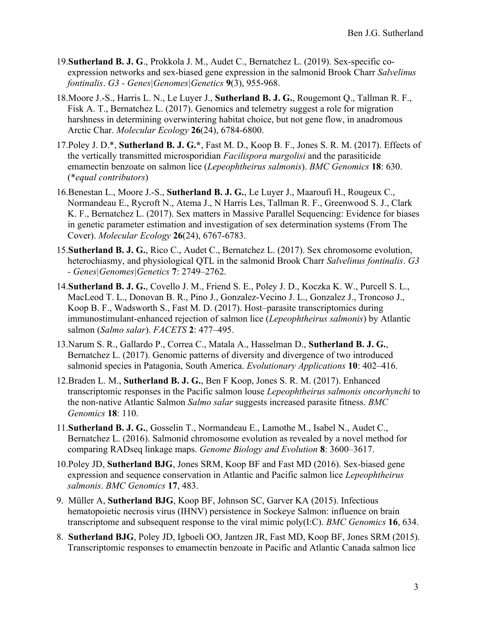- 19.**Sutherland B. J. G**., Prokkola J. M., Audet C., Bernatchez L. (2019). Sex-specific coexpression networks and sex-biased gene expression in the salmonid Brook Charr *Salvelinus fontinalis*. *G3 - Genes|Genomes|Genetics* **9**(3), 955-968.
- 18.Moore J.-S., Harris L. N., Le Luyer J., **Sutherland B. J. G.**, Rougemont Q., Tallman R. F., Fisk A. T., Bernatchez L. (2017). Genomics and telemetry suggest a role for migration harshness in determining overwintering habitat choice, but not gene flow, in anadromous Arctic Char. *Molecular Ecology* **26**(24), 6784-6800.
- 17.Poley J. D.\*, **Sutherland B. J. G.\***, Fast M. D., Koop B. F., Jones S. R. M. (2017). Effects of the vertically transmitted microsporidian *Facilispora margolisi* and the parasiticide emamectin benzoate on salmon lice (*Lepeophtheirus salmonis*). *BMC Genomics* **18**: 630. (\**equal contributors*)
- 16.Benestan L., Moore J.-S., **Sutherland B. J. G.**, Le Luyer J., Maaroufi H., Rougeux C., Normandeau E., Rycroft N., Atema J., N Harris Les, Tallman R. F., Greenwood S. J., Clark K. F., Bernatchez L. (2017). Sex matters in Massive Parallel Sequencing: Evidence for biases in genetic parameter estimation and investigation of sex determination systems (From The Cover). *Molecular Ecology* **26**(24), 6767-6783.
- 15.**Sutherland B. J. G.**, Rico C., Audet C., Bernatchez L. (2017). Sex chromosome evolution, heterochiasmy, and physiological QTL in the salmonid Brook Charr *Salvelinus fontinalis*. *G3 - Genes|Genomes|Genetics* **7**: 2749–2762.
- 14.**Sutherland B. J. G.**, Covello J. M., Friend S. E., Poley J. D., Koczka K. W., Purcell S. L., MacLeod T. L., Donovan B. R., Pino J., Gonzalez-Vecino J. L., Gonzalez J., Troncoso J., Koop B. F., Wadsworth S., Fast M. D. (2017). Host–parasite transcriptomics during immunostimulant-enhanced rejection of salmon lice (*Lepeophtheirus salmonis*) by Atlantic salmon (*Salmo salar*). *FACETS* **2**: 477–495.
- 13.Narum S. R., Gallardo P., Correa C., Matala A., Hasselman D., **Sutherland B. J. G.**, Bernatchez L. (2017). Genomic patterns of diversity and divergence of two introduced salmonid species in Patagonia, South America. *Evolutionary Applications* **10**: 402–416.
- 12.Braden L. M., **Sutherland B. J. G.**, Ben F Koop, Jones S. R. M. (2017). Enhanced transcriptomic responses in the Pacific salmon louse *Lepeophtheirus salmonis oncorhynchi* to the non-native Atlantic Salmon *Salmo salar* suggests increased parasite fitness. *BMC Genomics* **18**: 110.
- 11.**Sutherland B. J. G.**, Gosselin T., Normandeau E., Lamothe M., Isabel N., Audet C., Bernatchez L. (2016). Salmonid chromosome evolution as revealed by a novel method for comparing RADseq linkage maps. *Genome Biology and Evolution* **8**: 3600–3617.
- 10.Poley JD, **Sutherland BJG**, Jones SRM, Koop BF and Fast MD (2016). Sex-biased gene expression and sequence conservation in Atlantic and Pacific salmon lice *Lepeophtheirus salmonis*. *BMC Genomics* **17**, 483.
- 9. Müller A, **Sutherland BJG**, Koop BF, Johnson SC, Garver KA (2015). Infectious hematopoietic necrosis virus (IHNV) persistence in Sockeye Salmon: influence on brain transcriptome and subsequent response to the viral mimic poly(I:C). *BMC Genomics* **16**, 634.
- 8. **Sutherland BJG**, Poley JD, Igboeli OO, Jantzen JR, Fast MD, Koop BF, Jones SRM (2015). Transcriptomic responses to emamectin benzoate in Pacific and Atlantic Canada salmon lice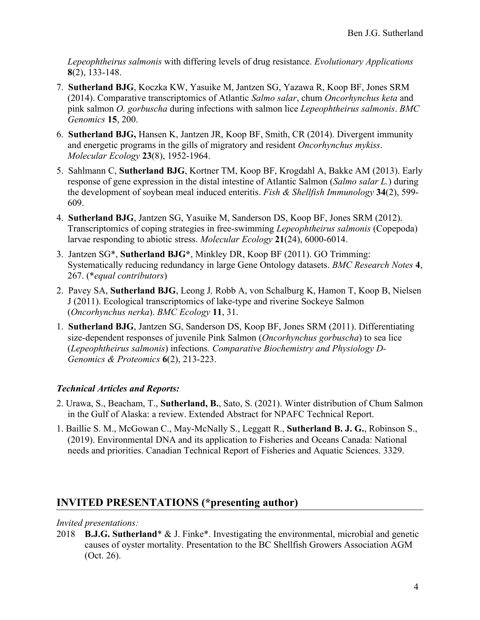*Lepeophtheirus salmonis* with differing levels of drug resistance. *Evolutionary Applications*  **8**(2), 133-148.

- 7. **Sutherland BJG**, Koczka KW, Yasuike M, Jantzen SG, Yazawa R, Koop BF, Jones SRM (2014). Comparative transcriptomics of Atlantic *Salmo salar*, chum *Oncorhynchus keta* and pink salmon *O. gorbuscha* during infections with salmon lice *Lepeophtheirus salmonis*. *BMC Genomics* **15**, 200.
- 6. **Sutherland BJG,** Hansen K, Jantzen JR, Koop BF, Smith, CR (2014). Divergent immunity and energetic programs in the gills of migratory and resident *Oncorhynchus mykiss*. *Molecular Ecology* **23**(8), 1952-1964.
- 5. Sahlmann C, **Sutherland BJG**, Kortner TM, Koop BF, Krogdahl A, Bakke AM (2013). Early response of gene expression in the distal intestine of Atlantic Salmon (*Salmo salar L.*) during the development of soybean meal induced enteritis. *Fish & Shellfish Immunology* **34**(2), 599- 609.
- 4. **Sutherland BJG**, Jantzen SG, Yasuike M, Sanderson DS, Koop BF, Jones SRM (2012). Transcriptomics of coping strategies in free-swimming *Lepeophtheirus salmonis* (Copepoda) larvae responding to abiotic stress. *Molecular Ecology* **21**(24), 6000-6014.
- 3. Jantzen SG\*, **Sutherland BJG\***, Minkley DR, Koop BF (2011). GO Trimming: Systematically reducing redundancy in large Gene Ontology datasets. *BMC Research Notes* **4**, 267. (\**equal contributors*)
- 2. Pavey SA, **Sutherland BJG**, Leong J*,* Robb A, von Schalburg K, Hamon T, Koop B, Nielsen J (2011). Ecological transcriptomics of lake-type and riverine Sockeye Salmon (*Oncorhynchus nerka*). *BMC Ecology* **11**, 31.
- 1. **Sutherland BJG**, Jantzen SG, Sanderson DS, Koop BF, Jones SRM (2011). Differentiating size-dependent responses of juvenile Pink Salmon (*Oncorhynchus gorbuscha*) to sea lice (*Lepeophtheirus salmonis*) infections*. Comparative Biochemistry and Physiology D-Genomics & Proteomics* **6**(2), 213-223.

#### *Technical Articles and Reports:*

- 2. Urawa, S., Beacham, T., **Sutherland, B.**, Sato, S. (2021). Winter distribution of Chum Salmon in the Gulf of Alaska: a review. Extended Abstract for NPAFC Technical Report.
- 1. Baillie S. M., McGowan C., May-McNally S., Leggatt R., **Sutherland B. J. G.**, Robinson S., (2019). Environmental DNA and its application to Fisheries and Oceans Canada: National needs and priorities. Canadian Technical Report of Fisheries and Aquatic Sciences. 3329.

## **INVITED PRESENTATIONS (\*presenting author)**

#### *Invited presentations:*

2018 **B.J.G. Sutherland**\* & J. Finke\*. Investigating the environmental, microbial and genetic causes of oyster mortality. Presentation to the BC Shellfish Growers Association AGM (Oct. 26).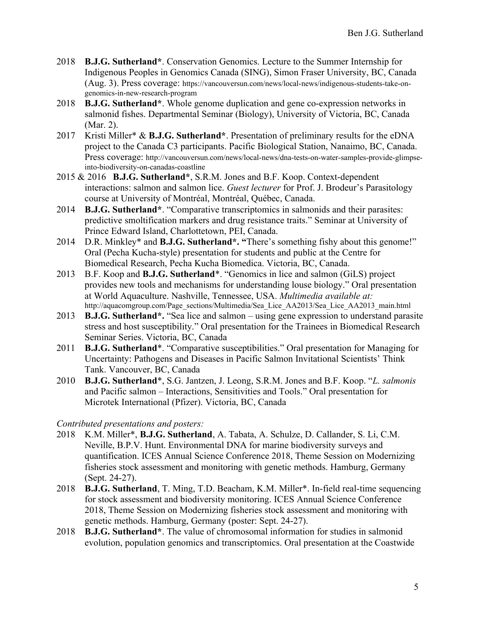- 2018 **B.J.G. Sutherland\***. Conservation Genomics. Lecture to the Summer Internship for Indigenous Peoples in Genomics Canada (SING), Simon Fraser University, BC, Canada (Aug. 3). Press coverage: https://vancouversun.com/news/local-news/indigenous-students-take-ongenomics-in-new-research-program
- 2018 **B.J.G. Sutherland\***. Whole genome duplication and gene co-expression networks in salmonid fishes. Departmental Seminar (Biology), University of Victoria, BC, Canada (Mar. 2).
- 2017 Kristi Miller\* & **B.J.G. Sutherland\***. Presentation of preliminary results for the eDNA project to the Canada C3 participants. Pacific Biological Station, Nanaimo, BC, Canada. Press coverage: http://vancouversun.com/news/local-news/dna-tests-on-water-samples-provide-glimpseinto-biodiversity-on-canadas-coastline
- 2015 & 2016 **B.J.G. Sutherland\***, S.R.M. Jones and B.F. Koop. Context-dependent interactions: salmon and salmon lice. *Guest lecturer* for Prof. J. Brodeur's Parasitology course at University of Montréal, Montréal, Québec, Canada.
- 2014 **B.J.G. Sutherland\***. "Comparative transcriptomics in salmonids and their parasites: predictive smoltification markers and drug resistance traits." Seminar at University of Prince Edward Island, Charlottetown, PEI, Canada.
- 2014 D.R. Minkley\* and **B.J.G. Sutherland\*. "**There's something fishy about this genome!" Oral (Pecha Kucha-style) presentation for students and public at the Centre for Biomedical Research, Pecha Kucha Biomedica. Victoria, BC, Canada.
- 2013 B.F. Koop and **B.J.G. Sutherland**\*. "Genomics in lice and salmon (GiLS) project provides new tools and mechanisms for understanding louse biology." Oral presentation at World Aquaculture. Nashville, Tennessee, USA. *Multimedia available at:* http://aquacomgroup.com/Page\_sections/Multimedia/Sea\_Lice\_AA2013/Sea\_Lice\_AA2013\_main.html
- 2013 **B.J.G. Sutherland\*.** "Sea lice and salmon using gene expression to understand parasite stress and host susceptibility." Oral presentation for the Trainees in Biomedical Research Seminar Series. Victoria, BC, Canada
- 2011 **B.J.G. Sutherland**\*. "Comparative susceptibilities." Oral presentation for Managing for Uncertainty: Pathogens and Diseases in Pacific Salmon Invitational Scientists' Think Tank. Vancouver, BC, Canada
- 2010 **B.J.G. Sutherland**\*, S.G. Jantzen, J. Leong, S.R.M. Jones and B.F. Koop. "*L. salmonis* and Pacific salmon – Interactions, Sensitivities and Tools." Oral presentation for Microtek International (Pfizer). Victoria, BC, Canada

*Contributed presentations and posters:*

- 2018 K.M. Miller\*, **B.J.G. Sutherland**, A. Tabata, A. Schulze, D. Callander, S. Li, C.M. Neville, B.P.V. Hunt. Environmental DNA for marine biodiversity surveys and quantification. ICES Annual Science Conference 2018, Theme Session on Modernizing fisheries stock assessment and monitoring with genetic methods. Hamburg, Germany (Sept. 24-27).
- 2018 **B.J.G. Sutherland**, T. Ming, T.D. Beacham, K.M. Miller\*. In-field real-time sequencing for stock assessment and biodiversity monitoring. ICES Annual Science Conference 2018, Theme Session on Modernizing fisheries stock assessment and monitoring with genetic methods. Hamburg, Germany (poster: Sept. 24-27).
- 2018 **B.J.G. Sutherland\***. The value of chromosomal information for studies in salmonid evolution, population genomics and transcriptomics. Oral presentation at the Coastwide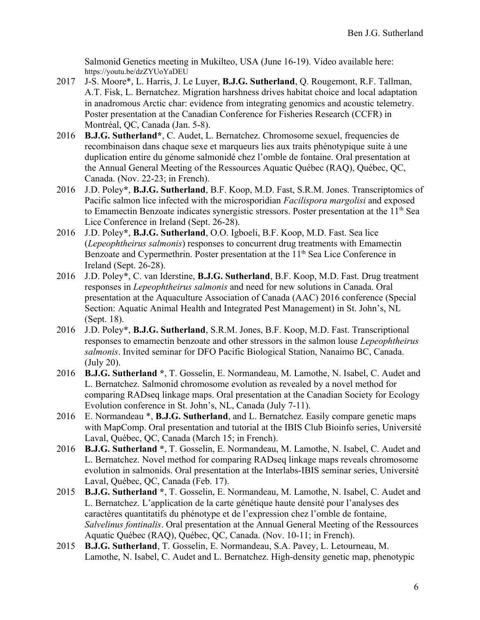Salmonid Genetics meeting in Mukilteo, USA (June 16-19). Video available here: https://youtu.be/dzZYUoYaDEU

- 2017 J-S. Moore\*, L. Harris, J. Le Luyer, **B.J.G. Sutherland**, Q. Rougemont, R.F. Tallman, A.T. Fisk, L. Bernatchez. Migration harshness drives habitat choice and local adaptation in anadromous Arctic char: evidence from integrating genomics and acoustic telemetry. Poster presentation at the Canadian Conference for Fisheries Research (CCFR) in Montréal, QC, Canada (Jan. 5-8).
- 2016 **B.J.G. Sutherland\***, C. Audet, L. Bernatchez. Chromosome sexuel, frequencies de recombinaison dans chaque sexe et marqueurs lies aux traits phénotypique suite à une duplication entire du génome salmonidé chez l'omble de fontaine. Oral presentation at the Annual General Meeting of the Ressources Aquatic Québec (RAQ), Québec, QC, Canada. (Nov. 22-23; in French).
- 2016 J.D. Poley**\***, **B.J.G. Sutherland**, B.F. Koop, M.D. Fast, S.R.M. Jones. Transcriptomics of Pacific salmon lice infected with the microsporidian *Facilispora margolisi* and exposed to Emamectin Benzoate indicates synergistic stressors. Poster presentation at the  $11<sup>th</sup>$  Sea Lice Conference in Ireland (Sept. 26-28).
- 2016 J.D. Poley**\***, **B.J.G. Sutherland**, O.O. Igboeli, B.F. Koop, M.D. Fast. Sea lice (*Lepeophtheirus salmonis*) responses to concurrent drug treatments with Emamectin Benzoate and Cypermethrin. Poster presentation at the 11<sup>th</sup> Sea Lice Conference in Ireland (Sept. 26-28).
- 2016 J.D. Poley**\***, C. van Iderstine, **B.J.G. Sutherland**, B.F. Koop, M.D. Fast. Drug treatment responses in *Lepeophtheirus salmonis* and need for new solutions in Canada. Oral presentation at the Aquaculture Association of Canada (AAC) 2016 conference (Special Section: Aquatic Animal Health and Integrated Pest Management) in St. John's, NL (Sept. 18).
- 2016 J.D. Poley**\***, **B.J.G. Sutherland**, S.R.M. Jones, B.F. Koop, M.D. Fast. Transcriptional responses to emamectin benzoate and other stressors in the salmon louse *Lepeophtheirus salmonis*. Invited seminar for DFO Pacific Biological Station, Nanaimo BC, Canada. (July 20).
- 2016 **B.J.G. Sutherland \***, T. Gosselin, E. Normandeau, M. Lamothe, N. Isabel, C. Audet and L. Bernatchez. Salmonid chromosome evolution as revealed by a novel method for comparing RADseq linkage maps. Oral presentation at the Canadian Society for Ecology Evolution conference in St. John's, NL, Canada (July 7-11).
- 2016 E. Normandeau \*, **B.J.G. Sutherland**, and L. Bernatchez. Easily compare genetic maps with MapComp. Oral presentation and tutorial at the IBIS Club Bioinfo series, Université Laval, Québec, QC, Canada (March 15; in French).
- 2016 **B.J.G. Sutherland \***, T. Gosselin, E. Normandeau, M. Lamothe, N. Isabel, C. Audet and L. Bernatchez. Novel method for comparing RADseq linkage maps reveals chromosome evolution in salmonids. Oral presentation at the Interlabs-IBIS seminar series, Université Laval, Québec, QC, Canada (Feb. 17).
- 2015 **B.J.G. Sutherland \***, T. Gosselin, E. Normandeau, M. Lamothe, N. Isabel, C. Audet and L. Bernatchez. L'application de la carte génétique haute densité pour l'analyses des caractères quantitatifs du phénotype et de l'expression chez l'omble de fontaine, *Salvelinus fontinalis*. Oral presentation at the Annual General Meeting of the Ressources Aquatic Québec (RAQ), Québec, QC, Canada. (Nov. 10-11; in French).
- 2015 **B.J.G. Sutherland**, T. Gosselin, E. Normandeau, S.A. Pavey, L. Letourneau, M. Lamothe, N. Isabel, C. Audet and L. Bernatchez. High-density genetic map, phenotypic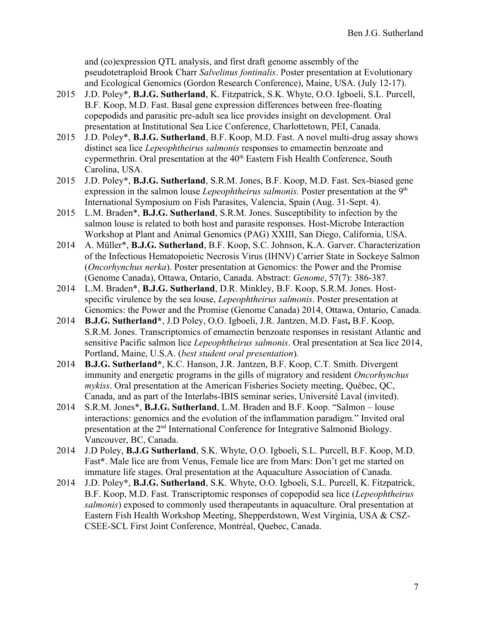and (co)expression QTL analysis, and first draft genome assembly of the pseudotetraploid Brook Charr *Salvelinus fontinalis*. Poster presentation at Evolutionary and Ecological Genomics (Gordon Research Conference), Maine, USA. (July 12-17).

- 2015 J.D. Poley\*, **B.J.G. Sutherland**, K. Fitzpatrick, S.K. Whyte, O.O. Igboeli, S.L. Purcell, B.F. Koop, M.D. Fast. Basal gene expression differences between free-floating copepodids and parasitic pre-adult sea lice provides insight on development. Oral presentation at Institutional Sea Lice Conference, Charlottetown, PEI, Canada.
- 2015 J.D. Poley\*, **B.J.G. Sutherland**, B.F. Koop, M.D. Fast. A novel multi-drug assay shows distinct sea lice *Lepeophtheirus salmonis* responses to emamectin benzoate and cypermethrin. Oral presentation at the 40<sup>th</sup> Eastern Fish Health Conference, South Carolina, USA.
- 2015 J.D. Poley**\***, **B.J.G. Sutherland**, S.R.M. Jones, B.F. Koop, M.D. Fast. Sex-biased gene expression in the salmon louse *Lepeophtheirus salmonis*. Poster presentation at the 9<sup>th</sup> International Symposium on Fish Parasites, Valencia, Spain (Aug. 31-Sept. 4).
- 2015 L.M. Braden\*, **B.J.G. Sutherland**, S.R.M. Jones. Susceptibility to infection by the salmon louse is related to both host and parasite responses. Host-Microbe Interaction Workshop at Plant and Animal Genomics (PAG) XXIII, San Diego, California, USA.
- 2014 A. Müller\*, **B.J.G. Sutherland**, B.F. Koop, S.C. Johnson, K.A. Garver. Characterization of the Infectious Hematopoietic Necrosis Virus (IHNV) Carrier State in Sockeye Salmon (*Oncorhynchus nerka*). Poster presentation at Genomics: the Power and the Promise (Genome Canada), Ottawa, Ontario, Canada. Abstract: *Genome*, 57(7): 386-387.
- 2014 L.M. Braden\*, **B.J.G. Sutherland**, D.R. Minkley, B.F. Koop, S.R.M. Jones. Hostspecific virulence by the sea louse, *Lepeophtheirus salmonis*. Poster presentation at Genomics: the Power and the Promise (Genome Canada) 2014, Ottawa, Ontario, Canada.
- 2014 **B.J.G. Sutherland\***, J.D Poley, O.O. Igboeli, J.R. Jantzen, M.D. Fast**,** B.F. Koop, S.R.M. Jones. Transcriptomics of emamectin benzoate responses in resistant Atlantic and sensitive Pacific salmon lice *Lepeophtheirus salmonis*. Oral presentation at Sea lice 2014, Portland, Maine, U.S.A. (*best student oral presentation*)*.*
- 2014 **B.J.G. Sutherland\***, K.C. Hanson, J.R. Jantzen, B.F. Koop, C.T. Smith. Divergent immunity and energetic programs in the gills of migratory and resident *Oncorhynchus mykiss*. Oral presentation at the American Fisheries Society meeting, Québec, QC, Canada, and as part of the Interlabs-IBIS seminar series, Université Laval (invited).
- 2014 S.R.M. Jones\*, **B.J.G. Sutherland**, L.M. Braden and B.F. Koop. "Salmon louse interactions: genomics and the evolution of the inflammation paradigm." Invited oral presentation at the 2nd International Conference for Integrative Salmonid Biology. Vancouver, BC, Canada.
- 2014 J.D Poley, **B.J.G Sutherland**, S.K. Whyte, O.O. Igboeli, S.L. Purcell, B.F. Koop, M.D. Fast**\***. Male lice are from Venus, Female lice are from Mars: Don't get me started on immature life stages. Oral presentation at the Aquaculture Association of Canada.
- 2014 J.D. Poley**\***, **B.J.G. Sutherland**, S.K. Whyte, O.O. Igboeli, S.L. Purcell, K. Fitzpatrick, B.F. Koop, M.D. Fast. Transcriptomic responses of copepodid sea lice (*Lepeophtheirus salmonis*) exposed to commonly used therapeutants in aquaculture. Oral presentation at Eastern Fish Health Workshop Meeting, Shepperdstown, West Virginia, USA & CSZ-CSEE-SCL First Joint Conference, Montréal, Quebec, Canada.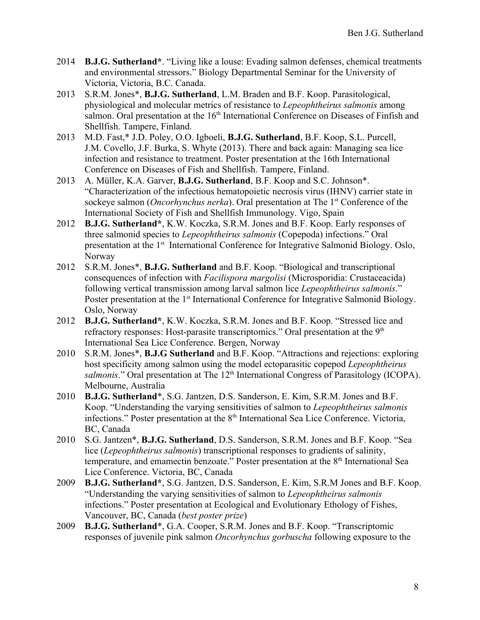- 2014 **B.J.G. Sutherland\***. "Living like a louse: Evading salmon defenses, chemical treatments and environmental stressors." Biology Departmental Seminar for the University of Victoria, Victoria, B.C. Canada.
- 2013 S.R.M. Jones\*, **B.J.G. Sutherland**, L.M. Braden and B.F. Koop. Parasitological, physiological and molecular metrics of resistance to *Lepeophtheirus salmonis* among salmon. Oral presentation at the 16<sup>th</sup> International Conference on Diseases of Finfish and Shellfish. Tampere, Finland.
- 2013 M.D. Fast,\* J.D. Poley, O.O. Igboeli, **B.J.G. Sutherland**, B.F. Koop, S.L. Purcell, J.M. Covello, J.F. Burka, S. Whyte (2013). There and back again: Managing sea lice infection and resistance to treatment. Poster presentation at the 16th International Conference on Diseases of Fish and Shellfish. Tampere, Finland.
- 2013 A. Müller, K.A. Garver, **B.J.G. Sutherland**, B.F. Koop and S.C. Johnson\*. "Characterization of the infectious hematopoietic necrosis virus (IHNV) carrier state in sockeye salmon (*Oncorhynchus nerka*). Oral presentation at The 1<sup>st</sup> Conference of the International Society of Fish and Shellfish Immunology. Vigo, Spain
- 2012 **B.J.G. Sutherland\***, K.W. Koczka, S.R.M. Jones and B.F. Koop. Early responses of three salmonid species to *Lepeophtheirus salmonis* (Copepoda) infections." Oral presentation at the 1<sup>st</sup> International Conference for Integrative Salmonid Biology. Oslo, Norway
- 2012 S.R.M. Jones\*, **B.J.G. Sutherland** and B.F. Koop. "Biological and transcriptional consequences of infection with *Facilispora margolisi* (Microsporidia: Crustaceacida) following vertical transmission among larval salmon lice *Lepeophtheirus salmonis*." Poster presentation at the 1<sup>st</sup> International Conference for Integrative Salmonid Biology. Oslo, Norway
- 2012 **B.J.G. Sutherland\***, K.W. Koczka, S.R.M. Jones and B.F. Koop. "Stressed lice and refractory responses: Host-parasite transcriptomics." Oral presentation at the 9<sup>th</sup> International Sea Lice Conference. Bergen, Norway
- 2010 S.R.M. Jones\*, **B.J.G Sutherland** and B.F. Koop. "Attractions and rejections: exploring host specificity among salmon using the model ectoparasitic copepod *Lepeophtheirus salmonis*." Oral presentation at The 12<sup>th</sup> International Congress of Parasitology (ICOPA). Melbourne, Australia
- 2010 **B.J.G. Sutherland**\*, S.G. Jantzen, D.S. Sanderson, E. Kim, S.R.M. Jones and B.F. Koop. "Understanding the varying sensitivities of salmon to *Lepeophtheirus salmonis*  infections." Poster presentation at the  $8<sup>th</sup>$  International Sea Lice Conference. Victoria, BC, Canada
- 2010 S.G. Jantzen\*, **B.J.G. Sutherland**, D.S. Sanderson, S.R.M. Jones and B.F. Koop. "Sea lice (*Lepeophtheirus salmonis*) transcriptional responses to gradients of salinity, temperature, and emamectin benzoate." Poster presentation at the 8<sup>th</sup> International Sea Lice Conference. Victoria, BC, Canada
- 2009 **B.J.G. Sutherland\***, S.G. Jantzen, D.S. Sanderson, E. Kim, S.R.M Jones and B.F. Koop. "Understanding the varying sensitivities of salmon to *Lepeophtheirus salmonis*  infections." Poster presentation at Ecological and Evolutionary Ethology of Fishes, Vancouver, BC, Canada (*best poster prize*)
- 2009 **B.J.G. Sutherland**\*, G.A. Cooper, S.R.M. Jones and B.F. Koop. "Transcriptomic responses of juvenile pink salmon *Oncorhynchus gorbuscha* following exposure to the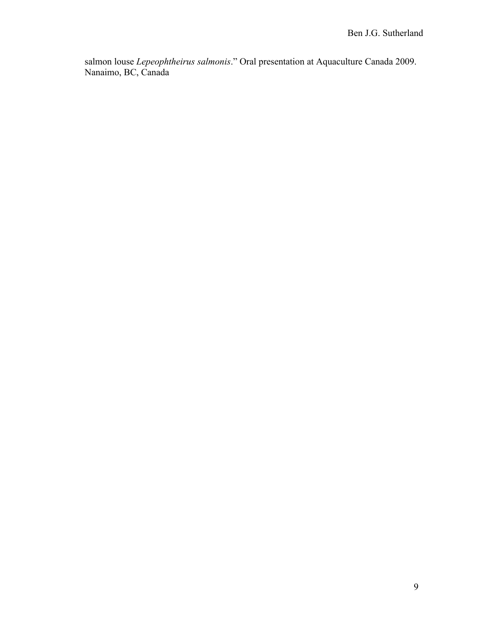salmon louse *Lepeophtheirus salmonis*." Oral presentation at Aquaculture Canada 2009. Nanaimo, BC, Canada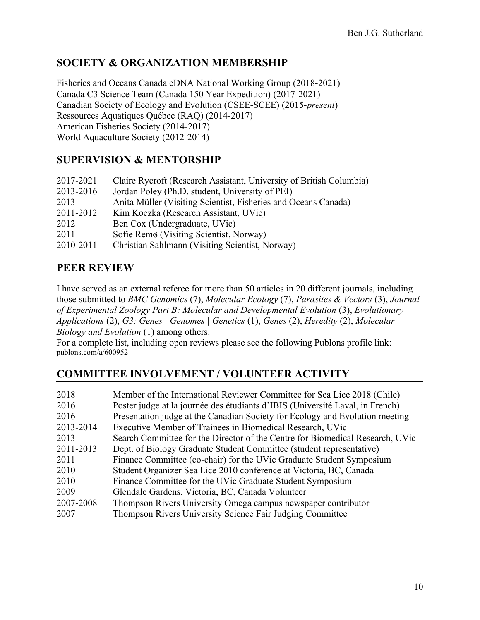## **SOCIETY & ORGANIZATION MEMBERSHIP**

Fisheries and Oceans Canada eDNA National Working Group (2018-2021) Canada C3 Science Team (Canada 150 Year Expedition) (2017-2021) Canadian Society of Ecology and Evolution (CSEE-SCEE) (2015-*present*) Ressources Aquatiques Québec (RAQ) (2014-2017) American Fisheries Society (2014-2017) World Aquaculture Society (2012-2014)

#### **SUPERVISION & MENTORSHIP**

| 2017-2021 | Claire Rycroft (Research Assistant, University of British Columbia) |
|-----------|---------------------------------------------------------------------|
| 2013-2016 | Jordan Poley (Ph.D. student, University of PEI)                     |
| 2013      | Anita Müller (Visiting Scientist, Fisheries and Oceans Canada)      |
| 2011-2012 | Kim Koczka (Research Assistant, UVic)                               |
| 2012      | Ben Cox (Undergraduate, UVic)                                       |
| 2011      | Sofie Remø (Visiting Scientist, Norway)                             |
| 2010-2011 | Christian Sahlmann (Visiting Scientist, Norway)                     |

#### **PEER REVIEW**

I have served as an external referee for more than 50 articles in 20 different journals, including those submitted to *BMC Genomics* (7), *Molecular Ecology* (7), *Parasites & Vectors* (3), *Journal of Experimental Zoology Part B: Molecular and Developmental Evolution* (3), *Evolutionary Applications* (2), *G3: Genes | Genomes | Genetics* (1), *Genes* (2), *Heredity* (2), *Molecular Biology and Evolution* (1) among others.

For a complete list, including open reviews please see the following Publons profile link: publons.com/a/600952

## **COMMITTEE INVOLVEMENT / VOLUNTEER ACTIVITY**

| 2018      | Member of the International Reviewer Committee for Sea Lice 2018 (Chile)      |
|-----------|-------------------------------------------------------------------------------|
| 2016      | Poster judge at la journée des étudiants d'IBIS (Université Laval, in French) |
| 2016      | Presentation judge at the Canadian Society for Ecology and Evolution meeting  |
| 2013-2014 | Executive Member of Trainees in Biomedical Research, UVic                     |
| 2013      | Search Committee for the Director of the Centre for Biomedical Research, UVic |
| 2011-2013 | Dept. of Biology Graduate Student Committee (student representative)          |
| 2011      | Finance Committee (co-chair) for the UVic Graduate Student Symposium          |
| 2010      | Student Organizer Sea Lice 2010 conference at Victoria, BC, Canada            |
| 2010      | Finance Committee for the UVic Graduate Student Symposium                     |
| 2009      | Glendale Gardens, Victoria, BC, Canada Volunteer                              |
| 2007-2008 | Thompson Rivers University Omega campus newspaper contributor                 |
| 2007      | Thompson Rivers University Science Fair Judging Committee                     |